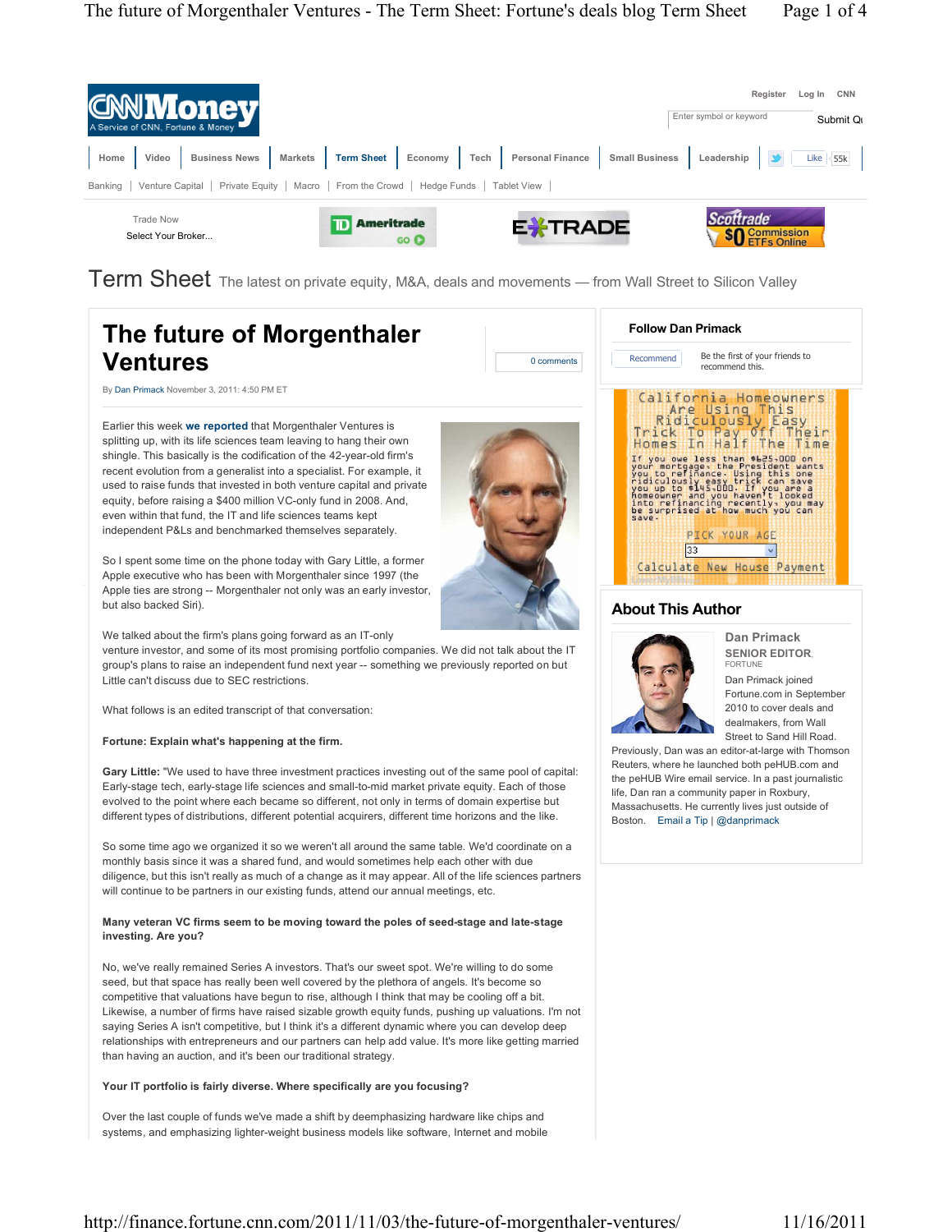

Term Sheet The latest on private equity, M&A, deals and movements — from Wall Street to Silicon Valley

| The future of Morgenthaler<br><b>Ventures</b><br>0 comments                                                                                                                                                                                                                                                                                                                                                                                                                                                                                                                                                                                                                                         | <b>Follow Dan Primack</b><br>Be the first of your friends to<br>Recommend<br>recommend this.                                                                                                                                                                                                                                                                                                                                                                                                                  |
|-----------------------------------------------------------------------------------------------------------------------------------------------------------------------------------------------------------------------------------------------------------------------------------------------------------------------------------------------------------------------------------------------------------------------------------------------------------------------------------------------------------------------------------------------------------------------------------------------------------------------------------------------------------------------------------------------------|---------------------------------------------------------------------------------------------------------------------------------------------------------------------------------------------------------------------------------------------------------------------------------------------------------------------------------------------------------------------------------------------------------------------------------------------------------------------------------------------------------------|
| By Dan Primack November 3, 2011: 4:50 PM ET                                                                                                                                                                                                                                                                                                                                                                                                                                                                                                                                                                                                                                                         |                                                                                                                                                                                                                                                                                                                                                                                                                                                                                                               |
| Earlier this week we reported that Morgenthaler Ventures is<br>splitting up, with its life sciences team leaving to hang their own<br>shingle. This basically is the codification of the 42-year-old firm's<br>recent evolution from a generalist into a specialist. For example, it<br>used to raise funds that invested in both venture capital and private<br>equity, before raising a \$400 million VC-only fund in 2008. And,<br>even within that fund, the IT and life sciences teams kept<br>independent P&Ls and benchmarked themselves separately.<br>So I spent some time on the phone today with Gary Little, a former<br>Apple executive who has been with Morgenthaler since 1997 (the | California Homeowners<br>Are Using This<br>Ridiculously<br>Easy<br>To Pay Off<br>Trick<br>heir<br>Homes<br>Half<br>In<br>The<br>Time<br>you owe less than \$625,000 on<br>in you come resident wants<br>you to refinance. Using this one of the president wants<br>ridiculously easy trick can save<br>you up to \$145,000. If you are it is one and<br>noneoner and you haven't looked<br>be surprised at how much you<br>save.<br><b>PICK YOUR AGE</b><br>33<br>$\mathbf{v}$<br>Calculate New House Payment |
| Apple ties are strong -- Morgenthaler not only was an early investor,<br>but also backed Siri).                                                                                                                                                                                                                                                                                                                                                                                                                                                                                                                                                                                                     | <b>About This Author</b>                                                                                                                                                                                                                                                                                                                                                                                                                                                                                      |
| We talked about the firm's plans going forward as an IT-only<br>venture investor, and some of its most promising portfolio companies. We did not talk about the IT<br>group's plans to raise an independent fund next year -- something we previously reported on but<br>Little can't discuss due to SEC restrictions.                                                                                                                                                                                                                                                                                                                                                                              | Dan Primack<br><b>SENIOR EDITOR.</b><br><b>FORTUNE</b><br>Dan Primack joined<br>Fortune.com in September                                                                                                                                                                                                                                                                                                                                                                                                      |
| What follows is an edited transcript of that conversation:                                                                                                                                                                                                                                                                                                                                                                                                                                                                                                                                                                                                                                          | 2010 to cover deals and<br>dealmakers, from Wall                                                                                                                                                                                                                                                                                                                                                                                                                                                              |
| Fortune: Explain what's happening at the firm.                                                                                                                                                                                                                                                                                                                                                                                                                                                                                                                                                                                                                                                      | Street to Sand Hill Road.<br>Previously, Dan was an editor-at-large with Thomson                                                                                                                                                                                                                                                                                                                                                                                                                              |
| <b>Gary Little:</b> "We used to have three investment practices investing out of the same pool of capital:<br>Early-stage tech, early-stage life sciences and small-to-mid market private equity. Each of those<br>evolved to the point where each became so different, not only in terms of domain expertise but<br>different types of distributions, different potential acquirers, different time horizons and the like.                                                                                                                                                                                                                                                                         | Reuters, where he launched both peHUB.com and<br>the peHUB Wire email service. In a past journalistic<br>life, Dan ran a community paper in Roxbury,<br>Massachusetts. He currently lives just outside of<br>Boston. Email a Tip   @danprimack                                                                                                                                                                                                                                                                |
| So some time ago we organized it so we weren't all around the same table. We'd coordinate on a<br>monthly basis since it was a shared fund, and would sometimes help each other with due<br>diligence, but this isn't really as much of a change as it may appear. All of the life sciences partners<br>will continue to be partners in our existing funds, attend our annual meetings, etc.                                                                                                                                                                                                                                                                                                        |                                                                                                                                                                                                                                                                                                                                                                                                                                                                                                               |
| Many veteran VC firms seem to be moving toward the poles of seed-stage and late-stage<br>investing. Are you?                                                                                                                                                                                                                                                                                                                                                                                                                                                                                                                                                                                        |                                                                                                                                                                                                                                                                                                                                                                                                                                                                                                               |
| No, we've really remained Series A investors. That's our sweet spot. We're willing to do some<br>seed, but that space has really been well covered by the plethora of angels. It's become so<br>competitive that valuations have begun to rise, although I think that may be cooling off a bit.<br>Likewise, a number of firms have raised sizable growth equity funds, pushing up valuations. I'm not<br>saying Series A isn't competitive, but I think it's a different dynamic where you can develop deep<br>relationships with entrepreneurs and our partners can help add value. It's more like getting married<br>than having an auction, and it's been our traditional strategy.             |                                                                                                                                                                                                                                                                                                                                                                                                                                                                                                               |
| Your IT portfolio is fairly diverse. Where specifically are you focusing?                                                                                                                                                                                                                                                                                                                                                                                                                                                                                                                                                                                                                           |                                                                                                                                                                                                                                                                                                                                                                                                                                                                                                               |
| Over the last couple of funds we've made a shift by deemphasizing hardware like chips and<br>systems, and emphasizing lighter-weight business models like software, Internet and mobile                                                                                                                                                                                                                                                                                                                                                                                                                                                                                                             |                                                                                                                                                                                                                                                                                                                                                                                                                                                                                                               |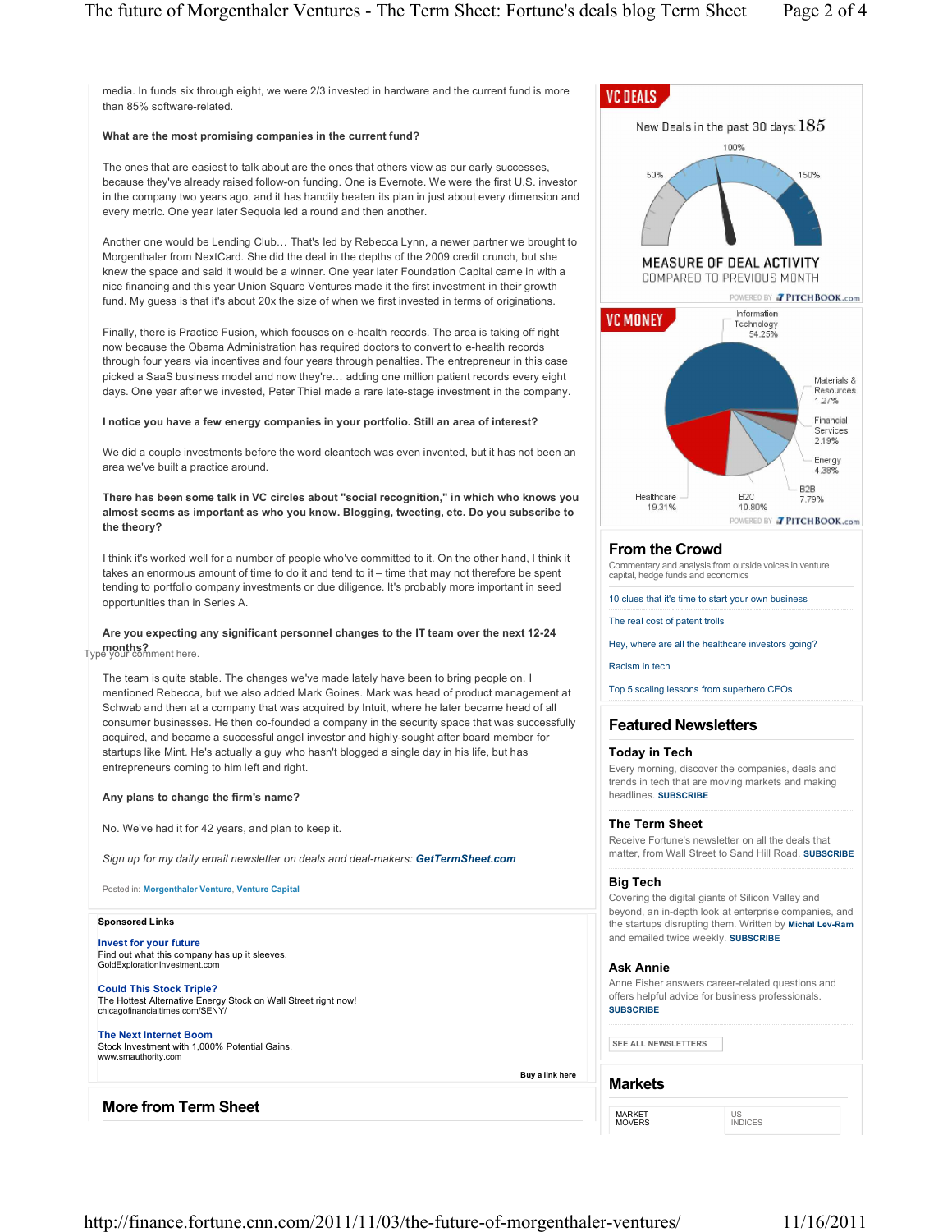media. In funds six through eight, we were 2/3 invested in hardware and the current fund is more than 85% software-related.

### **What are the most promising companies in the current fund?**

The ones that are easiest to talk about are the ones that others view as our early successes, because they've already raised follow-on funding. One is Evernote. We were the first U.S. investor in the company two years ago, and it has handily beaten its plan in just about every dimension and every metric. One year later Sequoia led a round and then another.

Another one would be Lending Club... That's led by Rebecca Lynn, a newer partner we brought to Morgenthaler from NextCard. She did the deal in the depths of the 2009 credit crunch, but she knew the space and said it would be a winner. One year later Foundation Capital came in with a nice financing and this year Union Square Ventures made it the first investment in their growth fund. My guess is that it's about 20x the size of when we first invested in terms of originations.

Finally, there is Practice Fusion, which focuses on e-health records. The area is taking off right now because the Obama Administration has required doctors to convert to e-health records through four years via incentives and four years through penalties. The entrepreneur in this case picked a SaaS business model and now they're... adding one million patient records every eight days. One year after we invested, Peter Thiel made a rare late-stage investment in the company.

### **I notice you have a few energy companies in your portfolio. Still an area of interest?**

We did a couple investments before the word cleantech was even invented, but it has not been an area we've built a practice around.

**There has been some talk in VC circles about "social recognition," in which who knows you almost seems as important as who you know. Blogging, tweeting, etc. Do you subscribe to the theory?**

I think it's worked well for a number of people who've committed to it. On the other hand, I think it takes an enormous amount of time to do it and tend to it – time that may not therefore be spent tending to portfolio company investments or due diligence. It's probably more important in seed opportunities than in Series A.

# **Are you expecting any significant personnel changes to the IT team over the next 12-24 months?** Type your comment here.

The team is quite stable. The changes we've made lately have been to bring people on. I mentioned Rebecca, but we also added Mark Goines. Mark was head of product management at Schwab and then at a company that was acquired by Intuit, where he later became head of all consumer businesses. He then co-founded a company in the security space that was successfully acquired, and became a successful angel investor and highly-sought after board member for startups like Mint. He's actually a guy who hasn't blogged a single day in his life, but has entrepreneurs coming to him left and right.

## **Any plans to change the firm's name?**

No. We've had it for 42 years, and plan to keep it.

*Sign up for my daily email newsletter on deals and deal-makers: GetTermSheet.com*

Posted in: **Morgenthaler Venture**, **Venture Capital**

### **Sponsored Links**

**Invest for your future** Find out what this company has up it sleeves. GoldExplorationInvestment.com

**Could This Stock Triple?** The Hottest Alternative Energy Stock on Wall Street right now! chicagofinancialtimes.com/SENY/

# **The Next Internet Boom**

Stock Investment with 1,000% Potential Gains. www.smauthority.com

# **More from Term Sheet**







# **From the Crowd**

Commentary and analysis from outside voices in venture capital, hedge funds and economics

10 clues that it's time to start your own business

The real cost of patent trolls

Hey, where are all the healthcare investors going?

Racism in tech

Top 5 scaling lessons from superhero CEOs

## **Featured Newsletters**

#### **Today in Tech**

Every morning, discover the companies, deals and trends in tech that are moving markets and making headlines. **SUBSCRIBE**

#### **The Term Sheet**

Receive Fortune's newsletter on all the deals that matter, from Wall Street to Sand Hill Road. **SUBSCRIBE**

### **Big Tech**

Covering the digital giants of Silicon Valley and beyond, an in-depth look at enterprise companies, and the startups disrupting them. Written by **Michal Lev-Ram** and emailed twice weekly. **SUBSCRIBE**

#### **Ask Annie**

Anne Fisher answers career-related questions and offers helpful advice for business professionals. **SUBSCRIBE**

US INDICES

**SEE ALL NEWSLETTERS**

### **Markets**

 **Buy a link here**

MARKET<br>MOVERS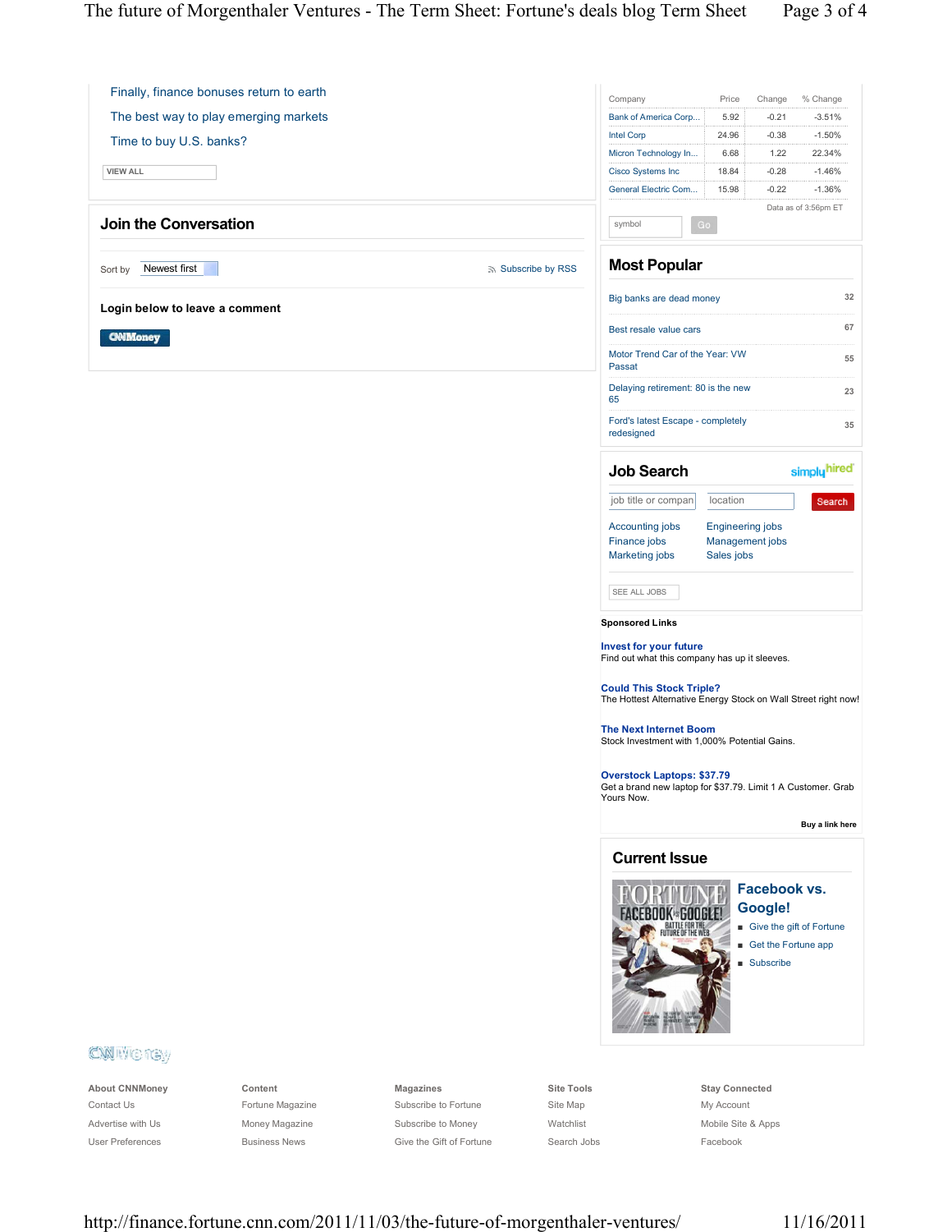Finally, finance bonuses return to earth The best way to play emerging markets Time to buy U.S. banks? **VIEW ALL Join the Conversation**

Sort by Newest first **Subscribe by RSS** Subscribe by RSS

**Login below to leave a comment**

**CNM**oney

| Company                  | Price | Change  | % Change |
|--------------------------|-------|---------|----------|
| Bank of America Corp     | 5.92  | $-0.21$ | $-3.51%$ |
| <b>Intel Corp</b>        | 24.96 | $-0.38$ | $-1.50%$ |
| Micron Technology In     | 6.68  | 1 22    | 22 34%   |
| <b>Cisco Systems Inc</b> | 18.84 | $-0.28$ | $-1.46%$ |
| General Electric Com     | 15.98 | $-0.22$ | $-1.36%$ |
| Data as of 3:56pm ET     |       |         |          |
| $G_0$<br>svm             |       |         |          |

# **Most Popular**

| Big banks are dead money                        |    |
|-------------------------------------------------|----|
| Best resale value cars                          |    |
| Motor Trend Car of the Year: VW<br>Passat       | 55 |
| Delaying retirement: 80 is the new<br>65        |    |
| Ford's latest Escape - completely<br>redesigned |    |

| Search |  |
|--------|--|
|--------|--|

job title or company location

Accounting jobs Engineering jobs

simply hired

Search

Finance jobs Management jobs Marketing jobs Sales jobs

### SEE ALL JOBS

**Job** 

**Sponsored Links**

**Invest for your future** Find out what this company has up it sleeves.

**Could This Stock Triple?** The Hottest Alternative Energy Stock on Wall Street right now!

**The Next Internet Boom** Stock Investment with 1,000% Potential Gains.

**Overstock Laptops: \$37.79** Get a brand new laptop for \$37.79. Limit 1 A Customer. Grab Yours Now.

 **Buy a link here**

### **Current Issue**



# **Facebook vs. Google!**



- $\blacksquare$  Get the Fortune app
- $S$ ubscribe

# CM HOTEY

**About CNNMoney** Contact Us Advertise with Us User Preferences

**Content** Fortune Magazine Money Magazine Business News

**Magazines** Subscribe to Fortune Subscribe to Money Give the Gift of Fortune **Site Tools** Site Map Watchlist Search Jobs **Stay Connected** My Account Mobile Site & Apps Facebook

http://finance.fortune.cnn.com/2011/11/03/the-future-of-morgenthaler-ventures/ 11/16/2011